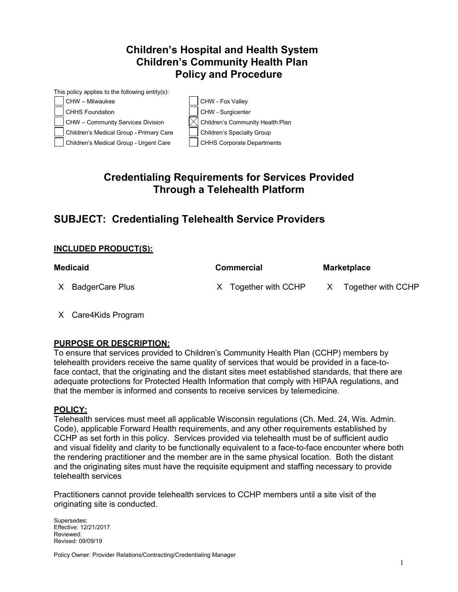# **Children's Hospital and Health System Children's Community Health Plan Policy and Procedure**



# **Credentialing Requirements for Services Provided Through a Telehealth Platform**

# **SUBJECT: Credentialing Telehealth Service Providers**

## **INCLUDED PRODUCT(S):**

| Medicaid          | <b>Commercial</b>    | <b>Marketplace</b> |
|-------------------|----------------------|--------------------|
| X BadgerCare Plus | X Together with CCHP | Together with CCHP |

X Care4Kids Program

## **PURPOSE OR DESCRIPTION:**

To ensure that services provided to Children's Community Health Plan (CCHP) members by telehealth providers receive the same quality of services that would be provided in a face-toface contact, that the originating and the distant sites meet established standards, that there are adequate protections for Protected Health Information that comply with HIPAA regulations, and that the member is informed and consents to receive services by telemedicine.

#### **POLICY:**

Telehealth services must meet all applicable Wisconsin regulations (Ch. Med. 24, Wis. Admin. Code), applicable Forward Health requirements, and any other requirements established by CCHP as set forth in this policy. Services provided via telehealth must be of sufficient audio and visual fidelity and clarity to be functionally equivalent to a face-to-face encounter where both the rendering practitioner and the member are in the same physical location. Both the distant and the originating sites must have the requisite equipment and staffing necessary to provide telehealth services

Practitioners cannot provide telehealth services to CCHP members until a site visit of the originating site is conducted.

Supersedes: Effective: 12/21/2017 Reviewed: Revised: 09/09/19

Policy Owner: Provider Relations/Contracting/Credentialing Manager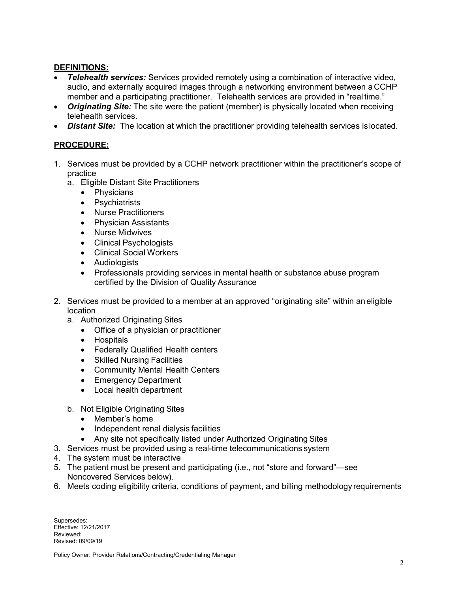### **DEFINITIONS:**

- **Telehealth services:** Services provided remotely using a combination of interactive video, audio, and externally acquired images through a networking environment between a CCHP member and a participating practitioner. Telehealth services are provided in "realtime."
- *Originating Site:* The site were the patient (member) is physically located when receiving telehealth services.
- *Distant Site:* The location at which the practitioner providing telehealth services is located.

## **PROCEDURE:**

- 1. Services must be provided by a CCHP network practitioner within the practitioner's scope of practice
	- a. Eligible Distant Site Practitioners
		- Physicians
		- Psychiatrists
		- Nurse Practitioners
		- Physician Assistants
		- Nurse Midwives
		- Clinical Psychologists
		- Clinical Social Workers
		- Audiologists
		- Professionals providing services in mental health or substance abuse program certified by the Division of Quality Assurance
- 2. Services must be provided to a member at an approved "originating site" within aneligible location
	- a. Authorized Originating Sites
		- Office of a physician or practitioner
		- Hospitals
		- Federally Qualified Health centers
		- Skilled Nursing Facilities
		- Community Mental Health Centers
		- Emergency Department
		- Local health department
	- b. Not Eligible Originating Sites
		- Member's home
		- Independent renal dialysis facilities
		- Any site not specifically listed under Authorized Originating Sites
- 3. Services must be provided using a real-time telecommunications system
- 4. The system must be interactive
- 5. The patient must be present and participating (i.e., not "store and forward"—see Noncovered Services below).
- 6. Meets coding eligibility criteria, conditions of payment, and billing methodology requirements

Supersedes: Effective: 12/21/2017 Reviewed: Revised: 09/09/19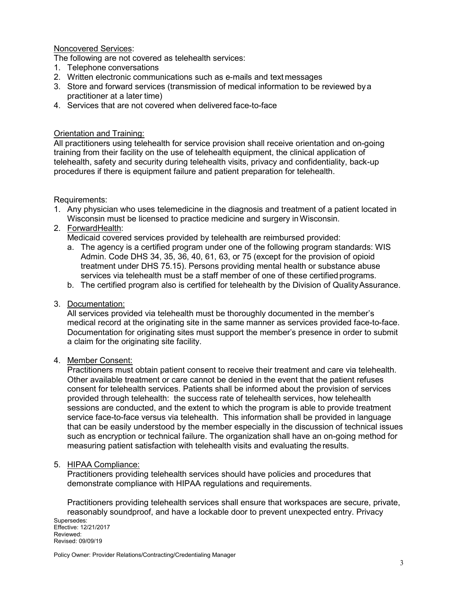#### Noncovered Services:

The following are not covered as telehealth services:

- 1. Telephone conversations
- 2. Written electronic communications such as e-mails and text messages
- 3. Store and forward services (transmission of medical information to be reviewed bya practitioner at a later time)
- 4. Services that are not covered when delivered face-to-face

#### Orientation and Training:

All practitioners using telehealth for service provision shall receive orientation and on-going training from their facility on the use of telehealth equipment, the clinical application of telehealth, safety and security during telehealth visits, privacy and confidentiality, back-up procedures if there is equipment failure and patient preparation for telehealth.

#### Requirements:

- 1. Any physician who uses telemedicine in the diagnosis and treatment of a patient located in Wisconsin must be licensed to practice medicine and surgery inWisconsin.
- 2. ForwardHealth:

Medicaid covered services provided by telehealth are reimbursed provided:

- a. The agency is a certified program under one of the following program standards: WIS Admin. Code DHS 34, 35, 36, 40, 61, 63, or 75 (except for the provision of opioid treatment under DHS 75.15). Persons providing mental health or substance abuse services via telehealth must be a staff member of one of these certified programs.
- b. The certified program also is certified for telehealth by the Division of QualityAssurance.

#### 3. Documentation:

All services provided via telehealth must be thoroughly documented in the member's medical record at the originating site in the same manner as services provided face-to-face. Documentation for originating sites must support the member's presence in order to submit a claim for the originating site facility.

#### 4. Member Consent:

Practitioners must obtain patient consent to receive their treatment and care via telehealth. Other available treatment or care cannot be denied in the event that the patient refuses consent for telehealth services. Patients shall be informed about the provision of services provided through telehealth: the success rate of telehealth services, how telehealth sessions are conducted, and the extent to which the program is able to provide treatment service face-to-face versus via telehealth. This information shall be provided in language that can be easily understood by the member especially in the discussion of technical issues such as encryption or technical failure. The organization shall have an on-going method for measuring patient satisfaction with telehealth visits and evaluating the results.

#### 5. HIPAA Compliance:

Practitioners providing telehealth services should have policies and procedures that demonstrate compliance with HIPAA regulations and requirements.

Supersedes: Effective: 12/21/2017 Reviewed: Revised: 09/09/19 Practitioners providing telehealth services shall ensure that workspaces are secure, private, reasonably soundproof, and have a lockable door to prevent unexpected entry. Privacy